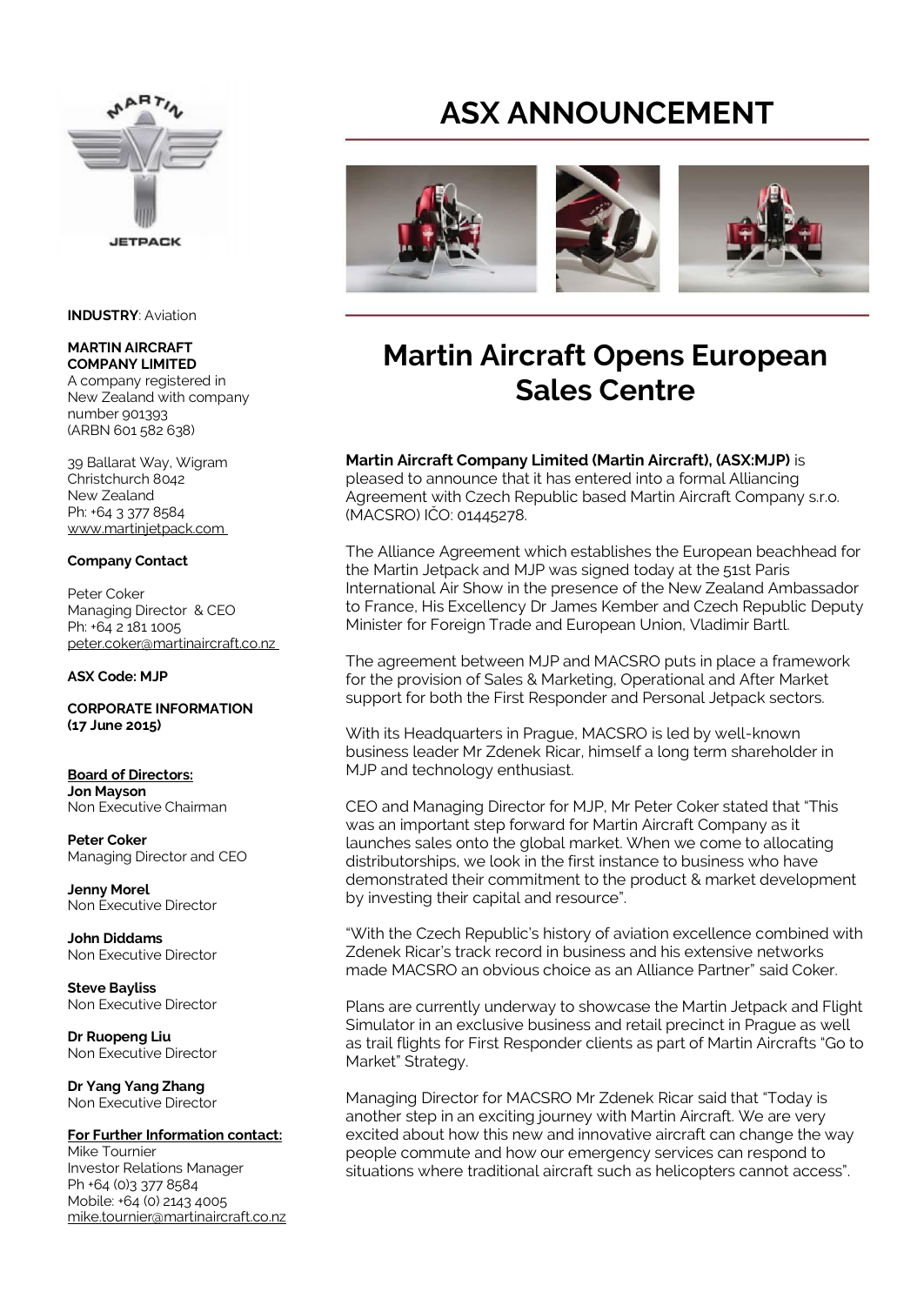

#### **INDUSTRY**: Aviation

#### **MARTIN AIRCRAFT COMPANY LIMITED**

A company registered in New Zealand with company number 901393 (ARBN 601 582 638)

39 Ballarat Way, Wigram Christchurch 8042 New Zealand Ph: +64 3 377 8584 www.martinjetpack.com

### **Company Contact**

Peter Coker Managing Director & CEO Ph: +64 2 181 1005 peter.coker@martinaircraft.co.nz

#### **ASX Code: MJP**

**CORPORATE INFORMATION (17 June 2015)** 

**Board of Directors: Jon Mayson**  Non Executive Chairman

**Peter Coker**  Managing Director and CEO

**Jenny Morel**  Non Executive Director

**John Diddams**  Non Executive Director

**Steve Bayliss** Non Executive Director

**Dr Ruopeng Liu**  Non Executive Director

**Dr Yang Yang Zhang**  Non Executive Director

### **For Further Information contact:**

Mike Tournier Investor Relations Manager Ph +64 (0)3 377 8584 Mobile: +64 (0) 2143 4005 mike.tournier@martinaircraft.co.nz

# **ASX ANNOUNCEMENT**



## **Martin Aircraft Opens European Sales Centre**

### **Martin Aircraft Company Limited (Martin Aircraft), (ASX:MJP)** is

pleased to announce that it has entered into a formal Alliancing Agreement with Czech Republic based Martin Aircraft Company s.r.o. (MACSRO) IČO: 01445278.

The Alliance Agreement which establishes the European beachhead for the Martin Jetpack and MJP was signed today at the 51st Paris International Air Show in the presence of the New Zealand Ambassador to France, His Excellency Dr James Kember and Czech Republic Deputy Minister for Foreign Trade and European Union, Vladimir Bartl.

The agreement between MJP and MACSRO puts in place a framework for the provision of Sales & Marketing, Operational and After Market support for both the First Responder and Personal Jetpack sectors.

With its Headquarters in Prague, MACSRO is led by well-known business leader Mr Zdenek Ricar, himself a long term shareholder in MJP and technology enthusiast.

CEO and Managing Director for MJP, Mr Peter Coker stated that "This was an important step forward for Martin Aircraft Company as it launches sales onto the global market. When we come to allocating distributorships, we look in the first instance to business who have demonstrated their commitment to the product & market development by investing their capital and resource".

"With the Czech Republic's history of aviation excellence combined with Zdenek Ricar's track record in business and his extensive networks made MACSRO an obvious choice as an Alliance Partner" said Coker.

Plans are currently underway to showcase the Martin Jetpack and Flight Simulator in an exclusive business and retail precinct in Prague as well as trail flights for First Responder clients as part of Martin Aircrafts "Go to Market" Strategy.

Managing Director for MACSRO Mr Zdenek Ricar said that "Today is another step in an exciting journey with Martin Aircraft. We are very excited about how this new and innovative aircraft can change the way people commute and how our emergency services can respond to situations where traditional aircraft such as helicopters cannot access".